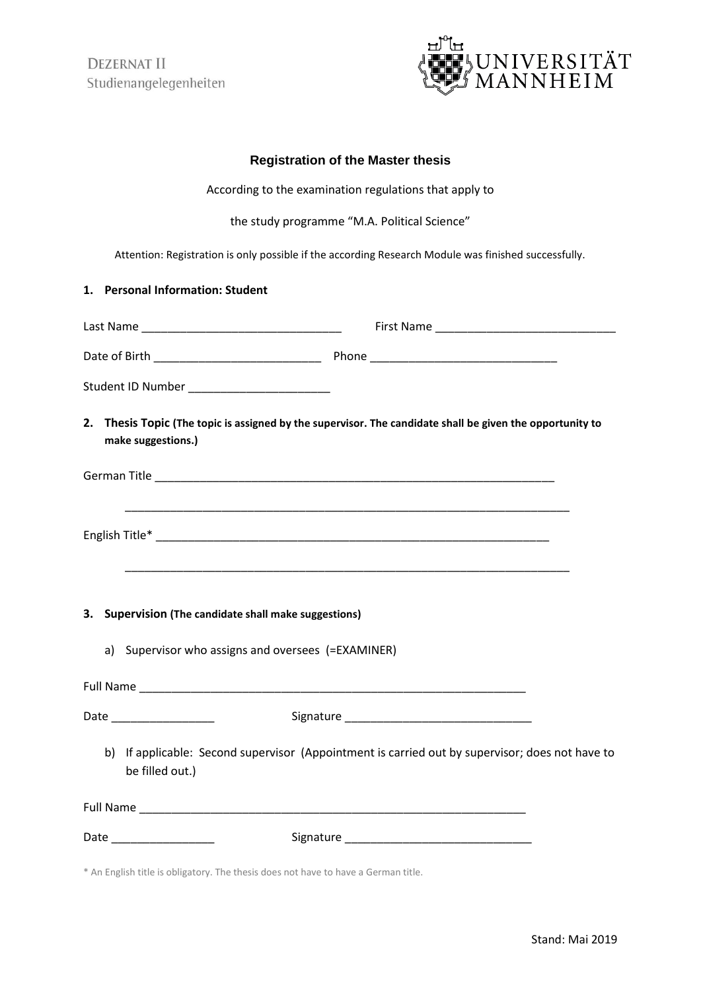**DEZERNAT II** Studienangelegenheiten



## **Registration of the Master thesis**

According to the examination regulations that apply to

the study programme "M.A. Political Science"

Attention: Registration is only possible if the according Research Module was finished successfully.

## **1. Personal Information: Student**

| Student ID Number __________________________                                                                          |                                                                                                                                 |
|-----------------------------------------------------------------------------------------------------------------------|---------------------------------------------------------------------------------------------------------------------------------|
|                                                                                                                       | 2. Thesis Topic (The topic is assigned by the supervisor. The candidate shall be given the opportunity to<br>make suggestions.) |
|                                                                                                                       |                                                                                                                                 |
| <u> 1989 - Johann Harry Harry Harry Harry Harry Harry Harry Harry Harry Harry Harry Harry Harry Harry Harry Harry</u> |                                                                                                                                 |
|                                                                                                                       | 3. Supervision (The candidate shall make suggestions)                                                                           |
| a)                                                                                                                    | Supervisor who assigns and oversees (=EXAMINER)                                                                                 |
|                                                                                                                       |                                                                                                                                 |
|                                                                                                                       |                                                                                                                                 |
| b)                                                                                                                    | If applicable: Second supervisor (Appointment is carried out by supervisor; does not have to<br>be filled out.)                 |
|                                                                                                                       |                                                                                                                                 |
|                                                                                                                       | Date __________________                                                                                                         |

\* An English title is obligatory. The thesis does not have to have a German title.